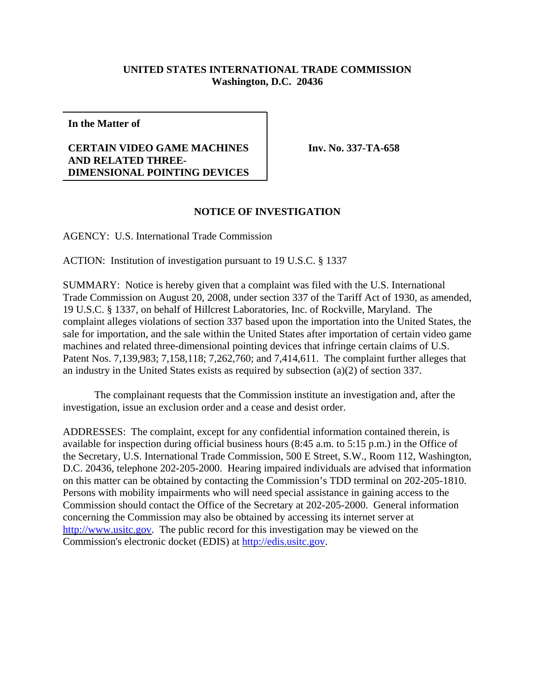## **UNITED STATES INTERNATIONAL TRADE COMMISSION Washington, D.C. 20436**

**In the Matter of**

## **CERTAIN VIDEO GAME MACHINES AND RELATED THREE-DIMENSIONAL POINTING DEVICES**

**Inv. No. 337-TA-658**

## **NOTICE OF INVESTIGATION**

AGENCY: U.S. International Trade Commission

ACTION: Institution of investigation pursuant to 19 U.S.C. § 1337

SUMMARY: Notice is hereby given that a complaint was filed with the U.S. International Trade Commission on August 20, 2008, under section 337 of the Tariff Act of 1930, as amended, 19 U.S.C. § 1337, on behalf of Hillcrest Laboratories, Inc. of Rockville, Maryland. The complaint alleges violations of section 337 based upon the importation into the United States, the sale for importation, and the sale within the United States after importation of certain video game machines and related three-dimensional pointing devices that infringe certain claims of U.S. Patent Nos. 7,139,983; 7,158,118; 7,262,760; and 7,414,611. The complaint further alleges that an industry in the United States exists as required by subsection (a)(2) of section 337.

The complainant requests that the Commission institute an investigation and, after the investigation, issue an exclusion order and a cease and desist order.

ADDRESSES: The complaint, except for any confidential information contained therein, is available for inspection during official business hours (8:45 a.m. to 5:15 p.m.) in the Office of the Secretary, U.S. International Trade Commission, 500 E Street, S.W., Room 112, Washington, D.C. 20436, telephone 202-205-2000. Hearing impaired individuals are advised that information on this matter can be obtained by contacting the Commission's TDD terminal on 202-205-1810. Persons with mobility impairments who will need special assistance in gaining access to the Commission should contact the Office of the Secretary at 202-205-2000. General information concerning the Commission may also be obtained by accessing its internet server at http://www.usitc.gov. The public record for this investigation may be viewed on the Commission's electronic docket (EDIS) at http://edis.usitc.gov.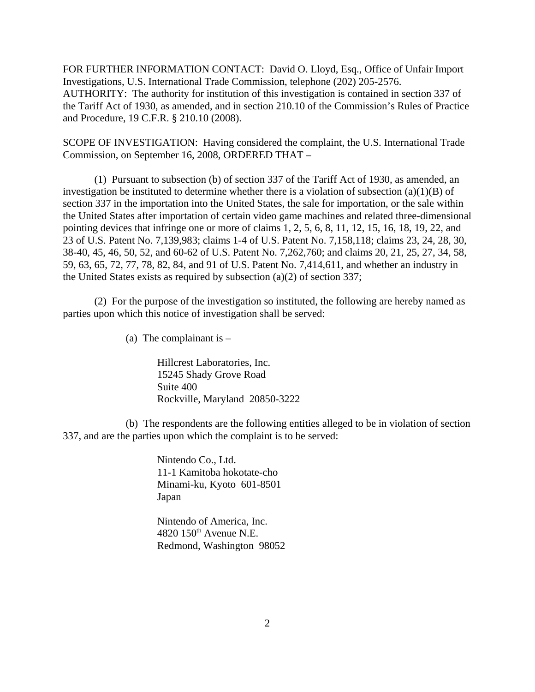FOR FURTHER INFORMATION CONTACT: David O. Lloyd, Esq., Office of Unfair Import Investigations, U.S. International Trade Commission, telephone (202) 205-2576. AUTHORITY: The authority for institution of this investigation is contained in section 337 of the Tariff Act of 1930, as amended, and in section 210.10 of the Commission's Rules of Practice and Procedure, 19 C.F.R. § 210.10 (2008).

SCOPE OF INVESTIGATION: Having considered the complaint, the U.S. International Trade Commission, on September 16, 2008, ORDERED THAT –

(1) Pursuant to subsection (b) of section 337 of the Tariff Act of 1930, as amended, an investigation be instituted to determine whether there is a violation of subsection  $(a)(1)(B)$  of section 337 in the importation into the United States, the sale for importation, or the sale within the United States after importation of certain video game machines and related three-dimensional pointing devices that infringe one or more of claims 1, 2, 5, 6, 8, 11, 12, 15, 16, 18, 19, 22, and 23 of U.S. Patent No. 7,139,983; claims 1-4 of U.S. Patent No. 7,158,118; claims 23, 24, 28, 30, 38-40, 45, 46, 50, 52, and 60-62 of U.S. Patent No. 7,262,760; and claims 20, 21, 25, 27, 34, 58, 59, 63, 65, 72, 77, 78, 82, 84, and 91 of U.S. Patent No. 7,414,611, and whether an industry in the United States exists as required by subsection (a)(2) of section 337;

(2) For the purpose of the investigation so instituted, the following are hereby named as parties upon which this notice of investigation shall be served:

(a) The complainant is  $-$ 

Hillcrest Laboratories, Inc. 15245 Shady Grove Road Suite 400 Rockville, Maryland 20850-3222

(b) The respondents are the following entities alleged to be in violation of section 337, and are the parties upon which the complaint is to be served:

> Nintendo Co., Ltd. 11-1 Kamitoba hokotate-cho Minami-ku, Kyoto 601-8501 Japan

Nintendo of America, Inc.  $4820$  150<sup>th</sup> Avenue N.E. Redmond, Washington 98052